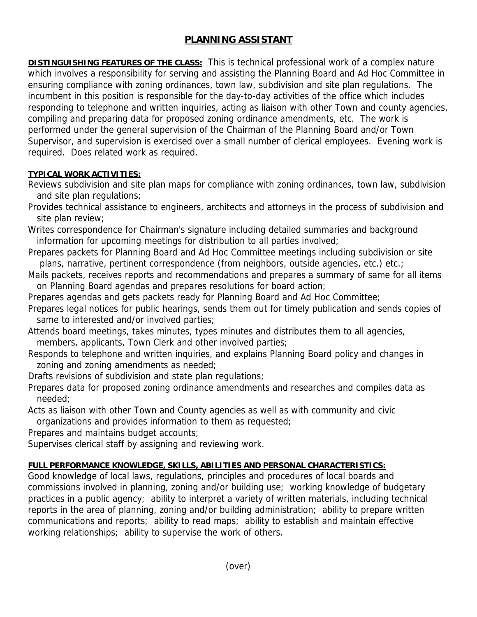## **PLANNING ASSISTANT**

**DISTINGUISHING FEATURES OF THE CLASS:** This is technical professional work of a complex nature which involves a responsibility for serving and assisting the Planning Board and Ad Hoc Committee in ensuring compliance with zoning ordinances, town law, subdivision and site plan regulations. The incumbent in this position is responsible for the day-to-day activities of the office which includes responding to telephone and written inquiries, acting as liaison with other Town and county agencies, compiling and preparing data for proposed zoning ordinance amendments, etc. The work is performed under the general supervision of the Chairman of the Planning Board and/or Town Supervisor, and supervision is exercised over a small number of clerical employees. Evening work is required. Does related work as required.

## **TYPICAL WORK ACTIVITIES:**

- Reviews subdivision and site plan maps for compliance with zoning ordinances, town law, subdivision and site plan regulations;
- Provides technical assistance to engineers, architects and attorneys in the process of subdivision and site plan review;
- Writes correspondence for Chairman's signature including detailed summaries and background information for upcoming meetings for distribution to all parties involved;
- Prepares packets for Planning Board and Ad Hoc Committee meetings including subdivision or site plans, narrative, pertinent correspondence (from neighbors, outside agencies, etc.) etc.;
- Mails packets, receives reports and recommendations and prepares a summary of same for all items on Planning Board agendas and prepares resolutions for board action;
- Prepares agendas and gets packets ready for Planning Board and Ad Hoc Committee;
- Prepares legal notices for public hearings, sends them out for timely publication and sends copies of same to interested and/or involved parties;
- Attends board meetings, takes minutes, types minutes and distributes them to all agencies, members, applicants, Town Clerk and other involved parties;
- Responds to telephone and written inquiries, and explains Planning Board policy and changes in zoning and zoning amendments as needed;
- Drafts revisions of subdivision and state plan regulations;
- Prepares data for proposed zoning ordinance amendments and researches and compiles data as needed;
- Acts as liaison with other Town and County agencies as well as with community and civic organizations and provides information to them as requested;
- Prepares and maintains budget accounts;
- Supervises clerical staff by assigning and reviewing work.

## **FULL PERFORMANCE KNOWLEDGE, SKILLS, ABILITIES AND PERSONAL CHARACTERISTICS:**

Good knowledge of local laws, regulations, principles and procedures of local boards and commissions involved in planning, zoning and/or building use; working knowledge of budgetary practices in a public agency; ability to interpret a variety of written materials, including technical reports in the area of planning, zoning and/or building administration; ability to prepare written communications and reports; ability to read maps; ability to establish and maintain effective working relationships; ability to supervise the work of others.